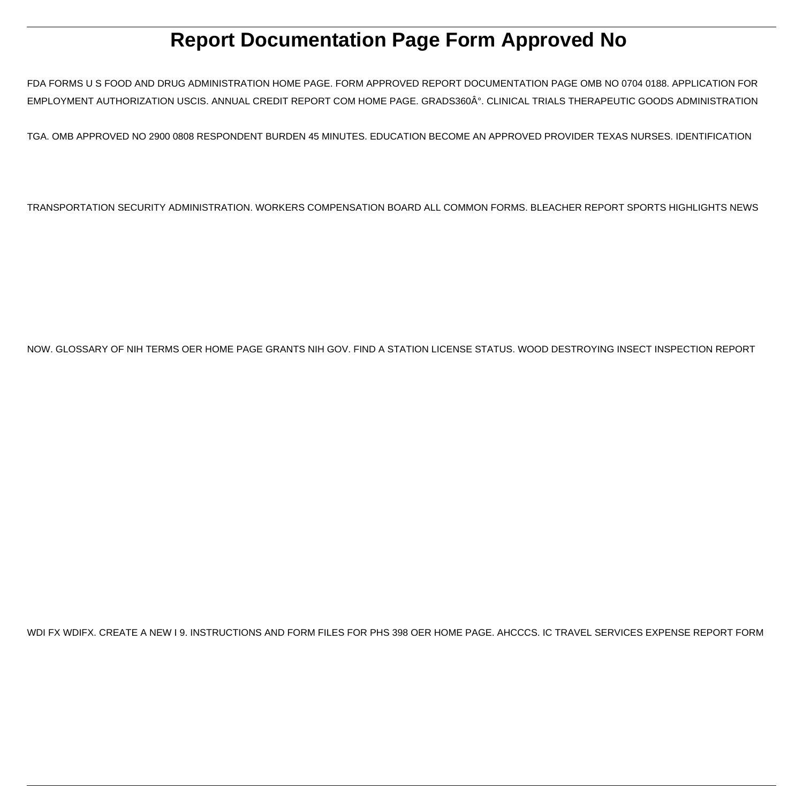# **Report Documentation Page Form Approved No**

FDA FORMS U S FOOD AND DRUG ADMINISTRATION HOME PAGE. FORM APPROVED REPORT DOCUMENTATION PAGE OMB NO 0704 0188. APPLICATION FOR EMPLOYMENT AUTHORIZATION USCIS. ANNUAL CREDIT REPORT COM HOME PAGE. GRADS360°. CLINICAL TRIALS THERAPEUTIC GOODS ADMINISTRATION

TGA. OMB APPROVED NO 2900 0808 RESPONDENT BURDEN 45 MINUTES. EDUCATION BECOME AN APPROVED PROVIDER TEXAS NURSES. IDENTIFICATION

TRANSPORTATION SECURITY ADMINISTRATION. WORKERS COMPENSATION BOARD ALL COMMON FORMS. BLEACHER REPORT SPORTS HIGHLIGHTS NEWS

NOW. GLOSSARY OF NIH TERMS OER HOME PAGE GRANTS NIH GOV. FIND A STATION LICENSE STATUS. WOOD DESTROYING INSECT INSPECTION REPORT

WDI FX WDIFX. CREATE A NEW I 9. INSTRUCTIONS AND FORM FILES FOR PHS 398 OER HOME PAGE. AHCCCS. IC TRAVEL SERVICES EXPENSE REPORT FORM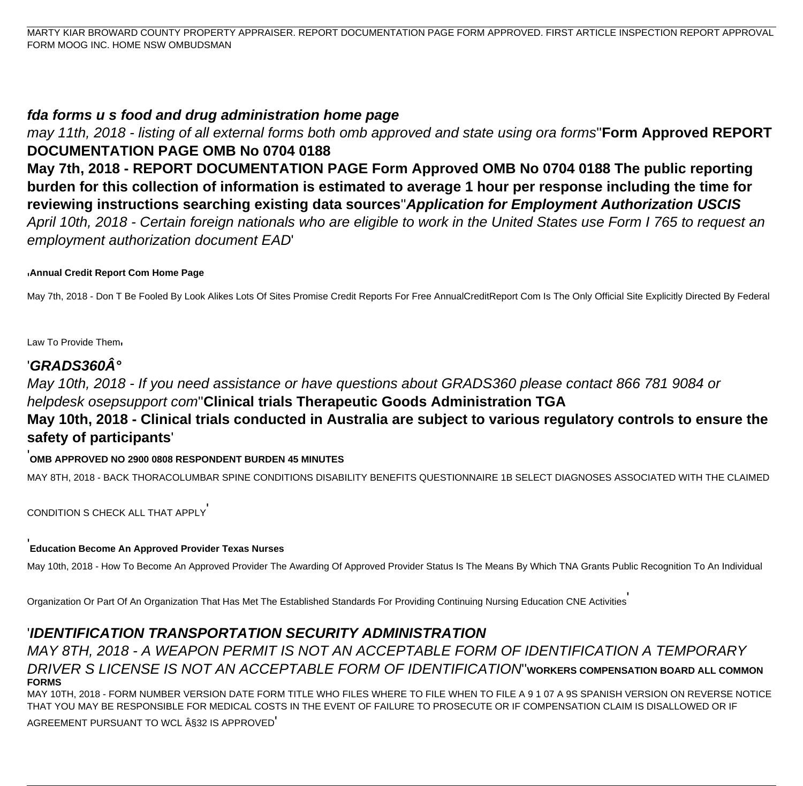MARTY KIAR BROWARD COUNTY PROPERTY APPRAISER. REPORT DOCUMENTATION PAGE FORM APPROVED. FIRST ARTICLE INSPECTION REPORT APPROVAL FORM MOOG INC. HOME NSW OMBUDSMAN

#### **fda forms u s food and drug administration home page**

may 11th, 2018 - listing of all external forms both omb approved and state using ora forms''**Form Approved REPORT DOCUMENTATION PAGE OMB No 0704 0188 May 7th, 2018 - REPORT DOCUMENTATION PAGE Form Approved OMB No 0704 0188 The public reporting burden for this collection of information is estimated to average 1 hour per response including the time for reviewing instructions searching existing data sources**''**Application for Employment Authorization USCIS** April 10th, 2018 - Certain foreign nationals who are eligible to work in the United States use Form I 765 to request an employment authorization document EAD'

#### '**Annual Credit Report Com Home Page**

May 7th, 2018 - Don T Be Fooled By Look Alikes Lots Of Sites Promise Credit Reports For Free AnnualCreditReport Com Is The Only Official Site Explicitly Directed By Federal

Law To Provide Them'

## **'GRADS360°**

May 10th, 2018 - If you need assistance or have questions about GRADS360 please contact 866 781 9084 or helpdesk osepsupport com''**Clinical trials Therapeutic Goods Administration TGA May 10th, 2018 - Clinical trials conducted in Australia are subject to various regulatory controls to ensure the safety of participants**'

#### '**OMB APPROVED NO 2900 0808 RESPONDENT BURDEN 45 MINUTES**

MAY 8TH, 2018 - BACK THORACOLUMBAR SPINE CONDITIONS DISABILITY BENEFITS QUESTIONNAIRE 1B SELECT DIAGNOSES ASSOCIATED WITH THE CLAIMED

CONDITION S CHECK ALL THAT APPLY'

#### '**Education Become An Approved Provider Texas Nurses**

May 10th, 2018 - How To Become An Approved Provider The Awarding Of Approved Provider Status Is The Means By Which TNA Grants Public Recognition To An Individual

Organization Or Part Of An Organization That Has Met The Established Standards For Providing Continuing Nursing Education CNE Activities'

# '**IDENTIFICATION TRANSPORTATION SECURITY ADMINISTRATION**

MAY 8TH, 2018 - A WEAPON PERMIT IS NOT AN ACCEPTABLE FORM OF IDENTIFICATION A TEMPORARY DRIVER S LICENSE IS NOT AN ACCEPTABLE FORM OF IDENTIFICATION''**WORKERS COMPENSATION BOARD ALL COMMON FORMS**

MAY 10TH, 2018 - FORM NUMBER VERSION DATE FORM TITLE WHO FILES WHERE TO FILE WHEN TO FILE A 9 1 07 A 9S SPANISH VERSION ON REVERSE NOTICE THAT YOU MAY BE RESPONSIBLE FOR MEDICAL COSTS IN THE EVENT OF FAILURE TO PROSECUTE OR IF COMPENSATION CLAIM IS DISALLOWED OR IF

AGREEMENT PURSUANT TO WCL §32 IS APPROVED'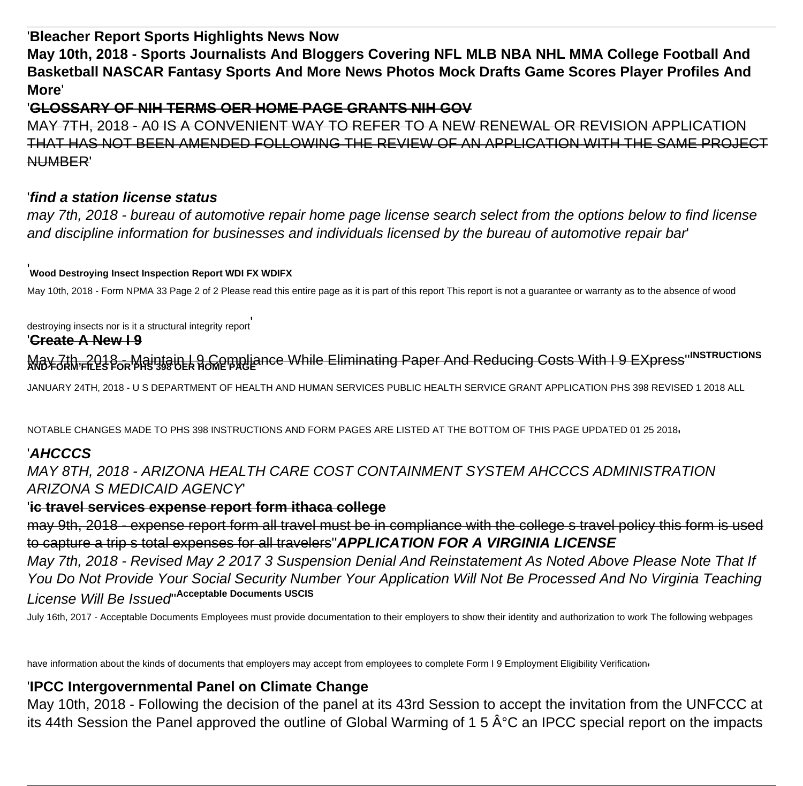'**Bleacher Report Sports Highlights News Now**

**May 10th, 2018 - Sports Journalists And Bloggers Covering NFL MLB NBA NHL MMA College Football And Basketball NASCAR Fantasy Sports And More News Photos Mock Drafts Game Scores Player Profiles And More**'

#### '**GLOSSARY OF NIH TERMS OER HOME PAGE GRANTS NIH GOV**

MAY 7TH, 2018 - A0 IS A CONVENIENT WAY TO REFER TO A NEW RENEWAL OR REVISION APPLICATION THAT HAS NOT BEEN AMENDED FOLLOWING THE REVIEW OF AN APPLICATION WITH THE SAME PROJECT NUMBER'

#### '**find a station license status**

may 7th, 2018 - bureau of automotive repair home page license search select from the options below to find license and discipline information for businesses and individuals licensed by the bureau of automotive repair bar'

'**Wood Destroying Insect Inspection Report WDI FX WDIFX**

May 10th, 2018 - Form NPMA 33 Page 2 of 2 Please read this entire page as it is part of this report This report is not a guarantee or warranty as to the absence of wood

destroying insects nor is it a structural integrity report

#### '**Create A New I 9**

May 7th, 2018 - Maintain I 9 Compliance While Eliminating Paper And Reducing Costs With I 9 EXpress''**INSTRUCTIONS AND FORM FILES FOR PHS 398 OER HOME PAGE**

JANUARY 24TH, 2018 - U S DEPARTMENT OF HEALTH AND HUMAN SERVICES PUBLIC HEALTH SERVICE GRANT APPLICATION PHS 398 REVISED 1 2018 ALL

NOTABLE CHANGES MADE TO PHS 398 INSTRUCTIONS AND FORM PAGES ARE LISTED AT THE BOTTOM OF THIS PAGE UPDATED 01 25 2018'

# '**AHCCCS**

MAY 8TH, 2018 - ARIZONA HEALTH CARE COST CONTAINMENT SYSTEM AHCCCS ADMINISTRATION ARIZONA S MEDICAID AGENCY'

#### '**ic travel services expense report form ithaca college**

may 9th, 2018 - expense report form all travel must be in compliance with the college s travel policy this form is used to capture a trip s total expenses for all travelers''**APPLICATION FOR A VIRGINIA LICENSE**

May 7th, 2018 - Revised May 2 2017 3 Suspension Denial And Reinstatement As Noted Above Please Note That If You Do Not Provide Your Social Security Number Your Application Will Not Be Processed And No Virginia Teaching License Will Be Issued''**Acceptable Documents USCIS**

July 16th, 2017 - Acceptable Documents Employees must provide documentation to their employers to show their identity and authorization to work The following webpages

have information about the kinds of documents that employers may accept from employees to complete Form I 9 Employment Eligibility Verification

# '**IPCC Intergovernmental Panel on Climate Change**

May 10th, 2018 - Following the decision of the panel at its 43rd Session to accept the invitation from the UNFCCC at its 44th Session the Panel approved the outline of Global Warming of 1 5  $\hat{A}^{\circ}C$  an IPCC special report on the impacts